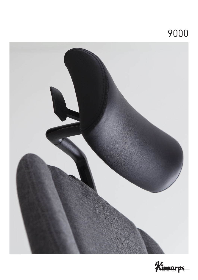# 



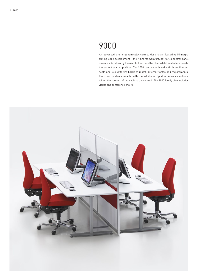## 9000

An advanced and ergonomically correct desk chair featuring Kinnarps' cutting-edge development – the Kinnarps ComfortControl®, a control panel on each side, allowing the user to fine-tune the chair whilst seated and create the perfect seating position. The 9000 can be combined with three different seats and four different backs to match different tastes and requirements. The chair is also available with the additional Sport or Advance options, taking the comfort of the chair to a new level. The 9000 family also includes visitor and conference chairs.

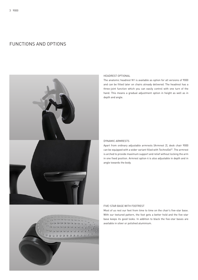### FUNCTIONS AND OPTIONS





#### HEADREST OPTIONAL

The anatomic headrest N1 is available as option for all versions of 9000 and can be fitted later on chairs already delivered. The headrest has a three-joint function which you can easily control with one turn of the hand. This means a gradual adjustment option in height as well as in depth and angle.

#### DYNAMIC ARMRESTS

Apart from ordinary adjustable armrests (Armrest 2), desk chair 9000 can be equipped with a wider variant filled with TechnoGel®. The armrest is arched to provide maximum support and relief without locking the arm in one fixed position. Armrest option 4 is also adjustable in depth and in angle towards the body.

#### FIVE-STAR BASE WITH FOOTREST

Most of us rest our feet from time to time on the chair's five-star base. With our textured pattern, the foot gets a better hold and the five-star base keeps its good looks. In addition to black the five-star bases are available in silver or polished aluminium.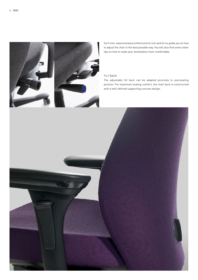

Surf onto: www.kinnarpscomfortcontrol.com and let us guide you on how to adjust the chair in the best possible way. You will also find some clever tips on how to make your workstation more comfortable.

#### TILT BACK

The adjustable tilt back can be adapted precisely to yourseating position. For maximum seating comfort, the chair back is constructed with a well-defined supporting concave design.

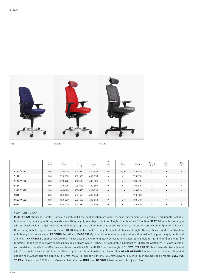

9122 9332 N1 9332 N1 9332 N2 9332 N1 9354 N1

|             | __<br>$\equiv$ | ₩       | ĨĨ      | ⇔ा      | $\supset$<br>두 | ₩               | குப     | $\trianglerighteq$ | $\mathbb{R}$ | 受 |
|-------------|----------------|---------|---------|---------|----------------|-----------------|---------|--------------------|--------------|---|
| 9110/9112   | 440            | 390-470 | 400-530 | 430-550 | $\circ$        | $-$ / $\bullet$ | 180-310 | $\bullet$          | $\bullet$    |   |
| 9114        | 440            | 390-470 | 400-530 | 430-550 | $\circ$        | $\bullet$       | 190-310 | $\bullet$          | ٠            |   |
| 9120 / 9122 | 440            | 390-470 | 400-530 | 430-550 | $\circ$        | $-$ / $\bullet$ | 180-310 | $\bullet$          | ٠            |   |
| 9124        | 440            | 390-470 | 400-530 | 430-550 | $\circ$        | $\bullet$       | 190-310 | $\bullet$          | ٠            |   |
| 9330 / 9332 | 440            | 400-480 | 400-530 | 430-550 | $\circ$        | $-$ / $\bullet$ | 180-310 | $\bullet$          |              |   |
| 9334        | 440            | 400-480 | 400-530 | 430-550 | $\circ$        | $\bullet$       | 190-320 | $\bullet$          | ٠            |   |
| 9550 / 9552 | 490            | 420-520 | 400-530 | 430-550 | $\circ$        | $-$ / $\bullet$ | 180-310 | $\bullet$          | ٠            |   |
| 9554        | 490            | 420-520 | 400-530 | 430-550 | $\circ$        | $\bullet$       | 190-320 | $\bullet$          |              |   |

#### 9000 – DESK CHAIR

**MECHANISM** Kinnarps ComfortControl™ combined FreeFloat-mechanism and Synchron-mechanism with gradually adjustable/lockable functions: tilt, back angle, tilting resistance, sitting height, seat depth, backrest height. The SafeBack® function. **SEAT** Adjustable seat angle with forward position, adjustable sitting height (gas spring), adjustable seat depth. Options seat 3 and 5: comfort zone Sport or Advance. Contrasting upholstery in three versions. **BACK** Adjustable backrest height, adjustable backrest angle. Options back 3 and 5: contrasting upholstery in three versions. **PADDING** Polyether. **HEADREST** Options: three elements, adjustable with one-hand grip for height, depth and angle, N1. **ARMRESTS** Options: type 2 with armrest pad; 240 x 90 mm in black polyurethane, adjustable in height (180-310 mm) and width (40 mm/side). Type 4 (dynamic) with armrest pad 250 x 110 mm in mtrl TechnoGel®, adjustable in height (190-320 mm), width (395–515 mm in comb. with seat/back 1 and 5, 415–515 mm in comb. with seat/back 3), depth (100 mm) and angle (15°). **FIVE-STAR BASE** Plastic five-star base (black) with 5 castors for hard and soft flooring. Silver or polished aluminium five-star base, glide. **OTHER OPTIONS** Single or double footring. Extended gas spring (KGAS80: sitting height 480–670 mm, KGAS190: sitting height 590–860 mm). Styling: polished finish on selected elements. **BELONGS TO FAMILY** Armchair 9000[cv], conference chair Monroe. **UNIT** mm. **DESIGN** Johan Larsvall, Torbjörn Höjer.